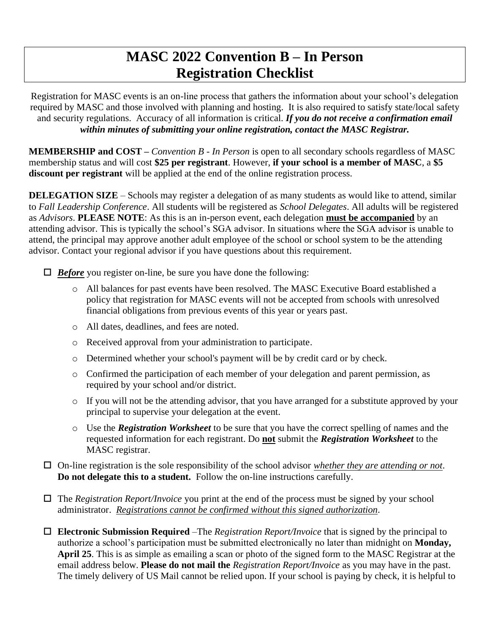## **MASC 2022 Convention B – In Person Registration Checklist**

Registration for MASC events is an on-line process that gathers the information about your school's delegation required by MASC and those involved with planning and hosting. It is also required to satisfy state/local safety and security regulations. Accuracy of all information is critical. *If you do not receive a confirmation email within minutes of submitting your online registration, contact the MASC Registrar.*

**MEMBERSHIP and COST –** *Convention B - In Person* is open to all secondary schools regardless of MASC membership status and will cost **\$25 per registrant**. However, **if your school is a member of MASC**, a **\$5 discount per registrant** will be applied at the end of the online registration process.

**DELEGATION SIZE** – Schools may register a delegation of as many students as would like to attend, similar to *Fall Leadership Conference*. All students will be registered as *School Delegates*. All adults will be registered as *Advisors*. **PLEASE NOTE**: As this is an in-person event, each delegation **must be accompanied** by an attending advisor. This is typically the school's SGA advisor. In situations where the SGA advisor is unable to attend, the principal may approve another adult employee of the school or school system to be the attending advisor. Contact your regional advisor if you have questions about this requirement.

*Before* you register on-line, be sure you have done the following:

- o All balances for past events have been resolved. The MASC Executive Board established a policy that registration for MASC events will not be accepted from schools with unresolved financial obligations from previous events of this year or years past.
- o All dates, deadlines, and fees are noted.
- o Received approval from your administration to participate.
- o Determined whether your school's payment will be by credit card or by check.
- o Confirmed the participation of each member of your delegation and parent permission, as required by your school and/or district.
- o If you will not be the attending advisor, that you have arranged for a substitute approved by your principal to supervise your delegation at the event.
- o Use the *Registration Worksheet* to be sure that you have the correct spelling of names and the requested information for each registrant. Do **not** submit the *Registration Worksheet* to the MASC registrar.
- On-line registration is the sole responsibility of the school advisor *whether they are attending or not*. **Do not delegate this to a student.** Follow the on-line instructions carefully.
- $\Box$  The *Registration Report/Invoice* you print at the end of the process must be signed by your school administrator. *Registrations cannot be confirmed without this signed authorization*.
- **Electronic Submission Required** –The *Registration Report/Invoice* that is signed by the principal to authorize a school's participation must be submitted electronically no later than midnight on **Monday, April 25**. This is as simple as emailing a scan or photo of the signed form to the MASC Registrar at the email address below. **Please do not mail the** *Registration Report/Invoice* as you may have in the past. The timely delivery of US Mail cannot be relied upon. If your school is paying by check, it is helpful to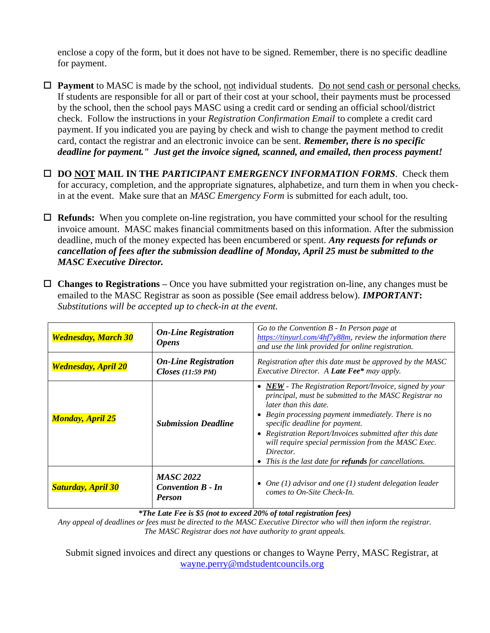enclose a copy of the form, but it does not have to be signed. Remember, there is no specific deadline for payment.

 **Payment** to MASC is made by the school, not individual students. Do not send cash or personal checks. If students are responsible for all or part of their cost at your school, their payments must be processed by the school, then the school pays MASC using a credit card or sending an official school/district check. Follow the instructions in your *Registration Confirmation Email* to complete a credit card payment. If you indicated you are paying by check and wish to change the payment method to credit card, contact the registrar and an electronic invoice can be sent. *Remember, there is no specific deadline for payment." Just get the invoice signed, scanned, and emailed, then process payment!*

 **DO NOT MAIL IN THE** *PARTICIPANT EMERGENCY INFORMATION FORMS*. Check them for accuracy, completion, and the appropriate signatures, alphabetize, and turn them in when you checkin at the event. Make sure that an *MASC Emergency Form* is submitted for each adult, too.

 **Refunds:** When you complete on-line registration, you have committed your school for the resulting invoice amount. MASC makes financial commitments based on this information. After the submission deadline, much of the money expected has been encumbered or spent. *Any requests for refunds or cancellation of fees after the submission deadline of Monday, April 25 must be submitted to the MASC Executive Director.*

 **Changes to Registrations –** Once you have submitted your registration on-line, any changes must be emailed to the MASC Registrar as soon as possible (See email address below). *IMPORTANT***:** *Substitutions will be accepted up to check-in at the event.*

| <b>Wednesday, March 30</b> | <b>On-Line Registration</b><br><b>Opens</b>                   | Go to the Convention $B$ - In Person page at<br>$\frac{https://tinyrl.com/4hf7y88m}{https://tinyurl.com/4hf7y88m}$ , review the information there<br>and use the link provided for online registration.                                                                                                                                                                                                                       |
|----------------------------|---------------------------------------------------------------|-------------------------------------------------------------------------------------------------------------------------------------------------------------------------------------------------------------------------------------------------------------------------------------------------------------------------------------------------------------------------------------------------------------------------------|
| <b>Wednesday, April 20</b> | <b>On-Line Registration</b><br>Closes $(11:59 \text{ PM})$    | Registration after this date must be approved by the MASC<br>Executive Director. A Late Fee* may apply.                                                                                                                                                                                                                                                                                                                       |
| <b>Monday, April 25</b>    | <b>Submission Deadline</b>                                    | $NEW$ - The Registration Report/Invoice, signed by your<br>principal, must be submitted to the MASC Registrar no<br>later than this date.<br>Begin processing payment immediately. There is no<br>specific deadline for payment.<br>Registration Report/Invoices submitted after this date<br>will require special permission from the MASC Exec.<br>Director.<br>This is the last date for <b>refunds</b> for cancellations. |
| <b>Saturday, April 30</b>  | <b>MASC 2022</b><br><b>Convention B - In</b><br><b>Person</b> | • One $(1)$ advisor and one $(1)$ student delegation leader<br>comes to On-Site Check-In.                                                                                                                                                                                                                                                                                                                                     |

*\*The Late Fee is \$5 (not to exceed 20% of total registration fees)*

*Any appeal of deadlines or fees must be directed to the MASC Executive Director who will then inform the registrar. The MASC Registrar does not have authority to grant appeals.*

Submit signed invoices and direct any questions or changes to Wayne Perry, MASC Registrar, at [wayne.perry@mdstudentcouncils.org](mailto:wayne.perry@mdstudentcouncils.org)